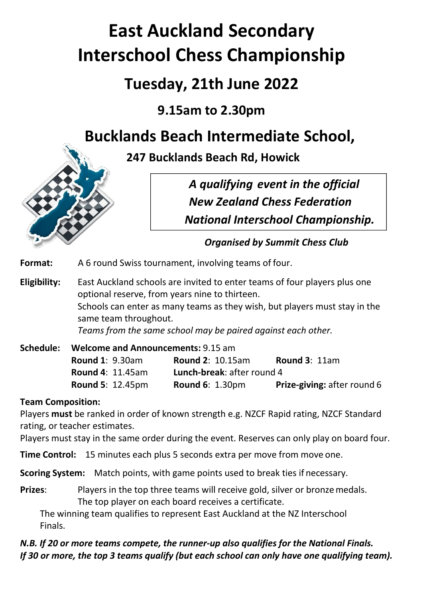# **East Auckland Secondary Interschool Chess Championship**

## **Tuesday, 21th June 2022**

## **9.15am to 2.30pm**

## **Bucklands Beach Intermediate School,**





*Organised by Summit Chess Club*

**Format:** A 6 round Swiss tournament, involving teams of four.

**Eligibility:** East Auckland schools are invited to enter teams of four players plus one optional reserve, from years nine to thirteen. Schools can enter as many teams as they wish, but players must stay in the same team throughout. *Teams from the same school may be paired against each other.*

| Schedule: | <b>Welcome and Announcements: 9.15 am</b> |                                   |                                    |  |  |
|-----------|-------------------------------------------|-----------------------------------|------------------------------------|--|--|
|           | <b>Round 1: 9.30am</b>                    | <b>Round 2: 10.15am</b>           | Round $3:11am$                     |  |  |
|           | <b>Round 4: 11.45am</b>                   | <b>Lunch-break: after round 4</b> |                                    |  |  |
|           | <b>Round 5: 12.45pm</b>                   | <b>Round 6: 1.30pm</b>            | <b>Prize-giving: after round 6</b> |  |  |

### **Team Composition:**

Players **must** be ranked in order of known strength e.g. NZCF Rapid rating, NZCF Standard rating, or teacher estimates.

Players must stay in the same order during the event. Reserves can only play on board four.

**Time Control:** 15 minutes each plus 5 seconds extra per move from move one.

**Scoring System:** Match points, with game points used to break ties if necessary.

**Prizes:** Players in the top three teams will receive gold, silver or bronze medals. The top player on each board receives a certificate.

The winning team qualifies to represent East Auckland at the NZ Interschool Finals.

*N.B. If 20 or more teams compete, the runner-up also qualifies for the National Finals. If 30 or more, the top 3 teams qualify (but each school can only have one qualifying team).*